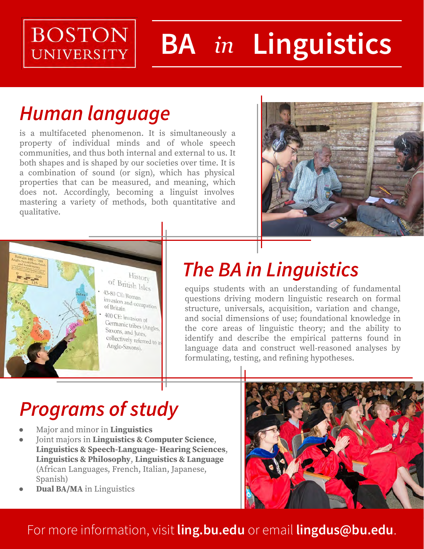## **BOSTON UNIVERSITY**

# **BA** *in* **Linguistics**

# *Human language*

is a multifaceted phenomenon. It is simultaneously a property of individual minds and of whole speech communities, and thus both internal and external to us. It both shapes and is shaped by our societies over time. It is a combination of sound (or sign), which has physical properties that can be measured, and meaning, which does not. Accordingly, becoming a linguist involves mastering a variety of methods, both quantitative and qualitative.





# *The BA in Linguistics*

equips students with an understanding of fundamental questions driving modern linguistic research on formal structure, universals, acquisition, variation and change, and social dimensions of use; foundational knowledge in the core areas of linguistic theory; and the ability to identify and describe the empirical patterns found in language data and construct well-reasoned analyses by formulating, testing, and refining hypotheses.

# *Programs of study*

- Major and minor in **Linguistics**
- Joint majors in **Linguistics & Computer Science**, **Linguistics & Speech-Language- Hearing Sciences**, **Linguistics & Philosophy**, **Linguistics & Language** (African Languages, French, Italian, Japanese, Spanish)
- **Dual BA/MA** in Linguistics



### For more information, visit **ling.bu.edu** or email **lingdus@bu.edu**.